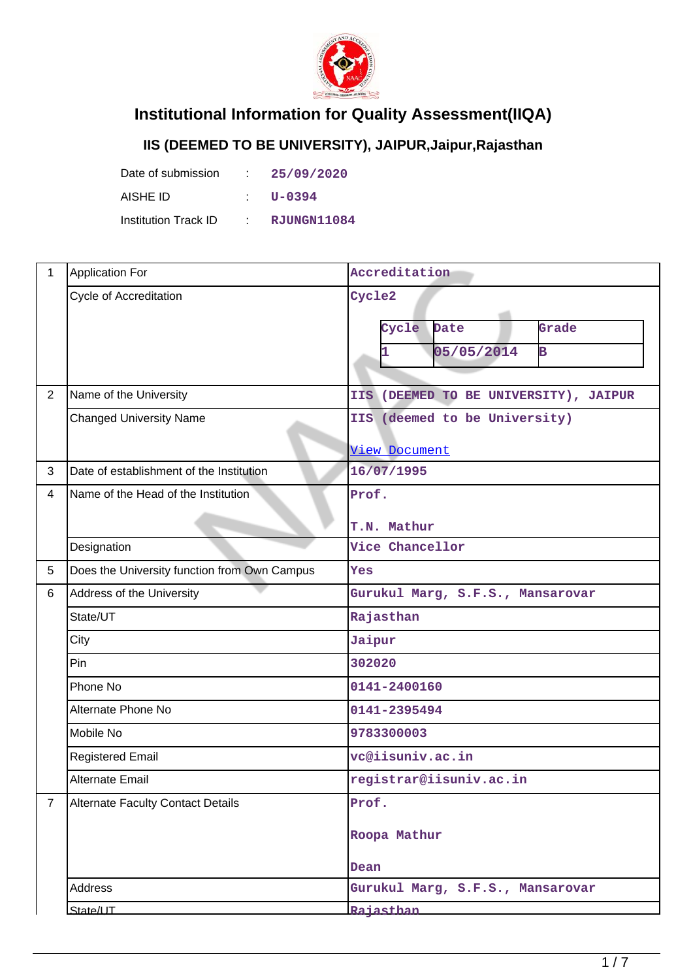

## **Institutional Information for Quality Assessment(IIQA)**

## **IIS (DEEMED TO BE UNIVERSITY), JAIPUR,Jaipur,Rajasthan**

| Date of submission   | D. | 25/09/2020  |
|----------------------|----|-------------|
| AISHE ID             |    | $U - 0394$  |
| Institution Track ID |    | RJUNGN11084 |

| $\mathbf{1}$   | <b>Application For</b>                       | Accreditation                              |  |  |
|----------------|----------------------------------------------|--------------------------------------------|--|--|
|                | <b>Cycle of Accreditation</b>                | Cycle2                                     |  |  |
|                |                                              | Cycle<br>Date<br>Grade                     |  |  |
|                |                                              | 05/05/2014<br>$\overline{\mathbf{B}}$<br>1 |  |  |
|                |                                              |                                            |  |  |
| $\overline{2}$ | Name of the University                       | IIS (DEEMED TO BE UNIVERSITY), JAIPUR      |  |  |
|                | <b>Changed University Name</b>               | IIS (deemed to be University)              |  |  |
|                |                                              | <b>View Document</b>                       |  |  |
| 3              | Date of establishment of the Institution     | 16/07/1995                                 |  |  |
| 4              | Name of the Head of the Institution          | Prof.                                      |  |  |
|                |                                              | T.N. Mathur                                |  |  |
|                | Designation                                  | Vice Chancellor                            |  |  |
| 5              | Does the University function from Own Campus | Yes                                        |  |  |
| 6              | Address of the University                    | Gurukul Marg, S.F.S., Mansarovar           |  |  |
|                | State/UT                                     | Rajasthan                                  |  |  |
|                | City                                         | Jaipur                                     |  |  |
|                | Pin                                          | 302020                                     |  |  |
|                | Phone No                                     | 0141-2400160                               |  |  |
|                | Alternate Phone No                           | 0141-2395494                               |  |  |
|                | Mobile No                                    | 9783300003                                 |  |  |
|                | <b>Registered Email</b>                      | vc@iisuniv.ac.in                           |  |  |
|                | Alternate Email                              | registrar@iisuniv.ac.in                    |  |  |
| $\overline{7}$ | <b>Alternate Faculty Contact Details</b>     | Prof.                                      |  |  |
|                |                                              | Roopa Mathur                               |  |  |
|                |                                              | Dean                                       |  |  |
|                | Address                                      | Gurukul Marg, S.F.S., Mansarovar           |  |  |
|                | State/UT                                     | <b>Rajasthan</b>                           |  |  |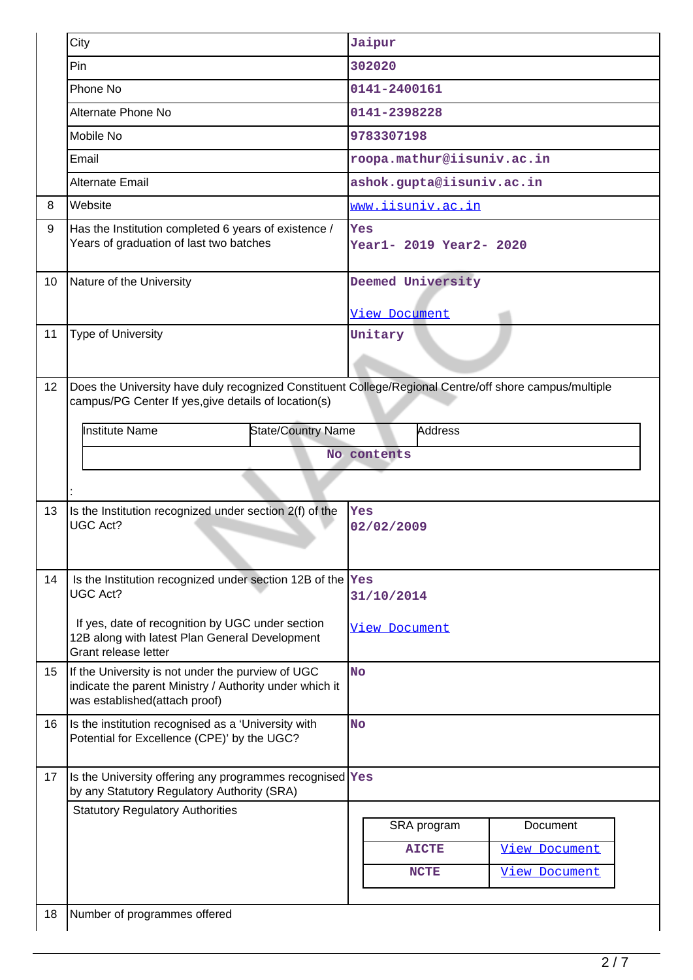|    | City                                                                                                                                                           | Jaipur                                    |
|----|----------------------------------------------------------------------------------------------------------------------------------------------------------------|-------------------------------------------|
|    | Pin                                                                                                                                                            | 302020                                    |
|    | Phone No                                                                                                                                                       | 0141-2400161                              |
|    | Alternate Phone No                                                                                                                                             | 0141-2398228                              |
|    | Mobile No                                                                                                                                                      | 9783307198                                |
|    | Email                                                                                                                                                          | roopa.mathur@iisuniv.ac.in                |
|    | Alternate Email                                                                                                                                                | ashok.gupta@iisuniv.ac.in                 |
| 8  | Website                                                                                                                                                        | www.iisuniv.ac.in                         |
| 9  | Has the Institution completed 6 years of existence /<br>Years of graduation of last two batches                                                                | Yes<br>Year1- 2019 Year2- 2020            |
| 10 | Nature of the University                                                                                                                                       | Deemed University<br><b>View Document</b> |
| 11 | Type of University                                                                                                                                             | Unitary                                   |
| 12 | Does the University have duly recognized Constituent College/Regional Centre/off shore campus/multiple<br>campus/PG Center If yes, give details of location(s) |                                           |
|    | <b>Institute Name</b><br><b>State/Country Name</b>                                                                                                             | <b>Address</b>                            |
|    |                                                                                                                                                                | No contents                               |
|    |                                                                                                                                                                |                                           |
| 13 | Is the Institution recognized under section 2(f) of the                                                                                                        | Yes                                       |
|    | <b>UGC Act?</b>                                                                                                                                                | 02/02/2009                                |
| 14 | Is the Institution recognized under section 12B of the Yes<br><b>UGC Act?</b>                                                                                  | 31/10/2014                                |
|    | If yes, date of recognition by UGC under section<br>12B along with latest Plan General Development<br>Grant release letter                                     | <b>View Document</b>                      |
| 15 | If the University is not under the purview of UGC<br>indicate the parent Ministry / Authority under which it<br>was established(attach proof)                  | <b>No</b>                                 |
| 16 | Is the institution recognised as a 'University with<br>Potential for Excellence (CPE)' by the UGC?                                                             | <b>No</b>                                 |
| 17 | Is the University offering any programmes recognised Yes<br>by any Statutory Regulatory Authority (SRA)                                                        |                                           |
|    | <b>Statutory Regulatory Authorities</b>                                                                                                                        | SRA program<br>Document                   |
|    |                                                                                                                                                                | <b>View Document</b><br><b>AICTE</b>      |
|    |                                                                                                                                                                |                                           |
|    |                                                                                                                                                                | <b>NCTE</b><br><b>View Document</b>       |
| 18 | Number of programmes offered                                                                                                                                   |                                           |
|    |                                                                                                                                                                |                                           |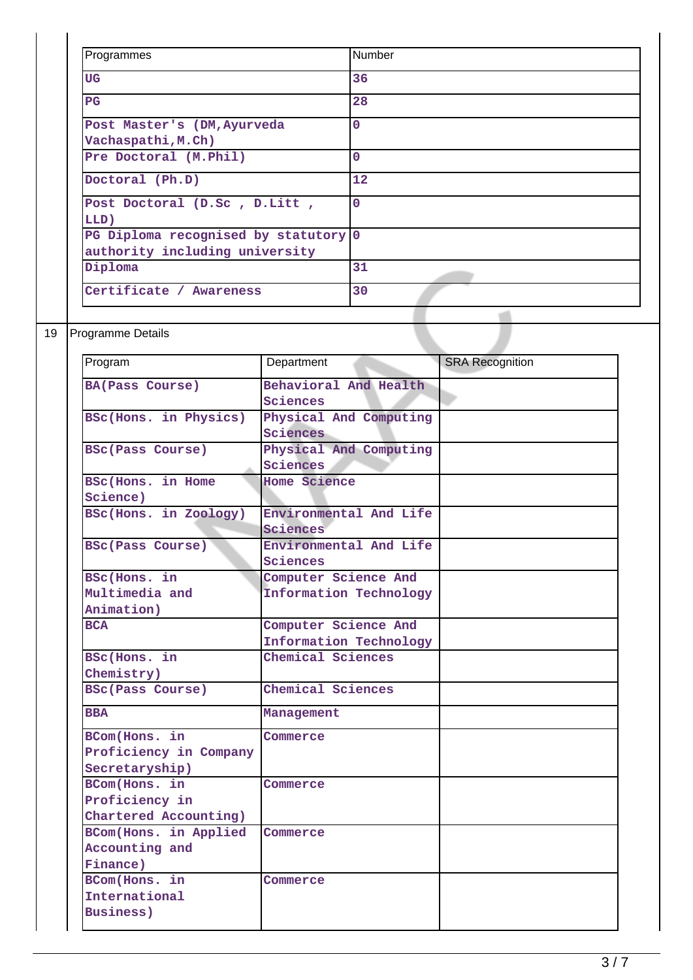| Programmes                                                             | <b>Number</b>  |
|------------------------------------------------------------------------|----------------|
| UG                                                                     | 36             |
| $_{\rm PG}$                                                            | 28             |
| Post Master's (DM, Ayurveda<br>Vachaspathi, M.Ch)                      | 0              |
| Pre Doctoral (M.Phil)                                                  | $\mathbf 0$    |
| Doctoral (Ph.D)                                                        | 12             |
| Post Doctoral (D.Sc, D.Litt,<br>LLD)                                   | $\overline{0}$ |
| PG Diploma recognised by statutory 0<br>authority including university |                |
| Diploma                                                                | 31             |
| Certificate / Awareness                                                | 30             |

## 19 Programme Details

| Program                  | Department             | <b>SRA Recognition</b> |
|--------------------------|------------------------|------------------------|
| <b>BA(Pass Course)</b>   | Behavioral And Health  |                        |
|                          | Sciences               |                        |
| BSc(Hons. in Physics)    | Physical And Computing |                        |
|                          | Sciences               |                        |
| <b>BSc(Pass Course)</b>  | Physical And Computing |                        |
|                          | Sciences               |                        |
| <b>BSc(Hons. in Home</b> | <b>Home Science</b>    |                        |
| Science)                 |                        |                        |
| BSc(Hons. in Zoology)    | Environmental And Life |                        |
|                          | Sciences               |                        |
| <b>BSc(Pass Course)</b>  | Environmental And Life |                        |
|                          | Sciences               |                        |
| BSc(Hons. in             | Computer Science And   |                        |
| Multimedia and           | Information Technology |                        |
| Animation)               |                        |                        |
| <b>BCA</b>               | Computer Science And   |                        |
|                          | Information Technology |                        |
| BSc(Hons. in             | Chemical Sciences      |                        |
| Chemistry)               |                        |                        |
| <b>BSc(Pass Course)</b>  | Chemical Sciences      |                        |
| <b>BBA</b>               | Management             |                        |
| BCom(Hons. in            | Commerce               |                        |
| Proficiency in Company   |                        |                        |
| Secretaryship)           |                        |                        |
| BCom(Hons. in            | Commerce               |                        |
| Proficiency in           |                        |                        |
| Chartered Accounting)    |                        |                        |
| BCom(Hons. in Applied    | Commerce               |                        |
| Accounting and           |                        |                        |
| Finance)                 |                        |                        |
| BCom(Hons. in            | Commerce               |                        |
| International            |                        |                        |
| <b>Business</b> )        |                        |                        |
|                          |                        |                        |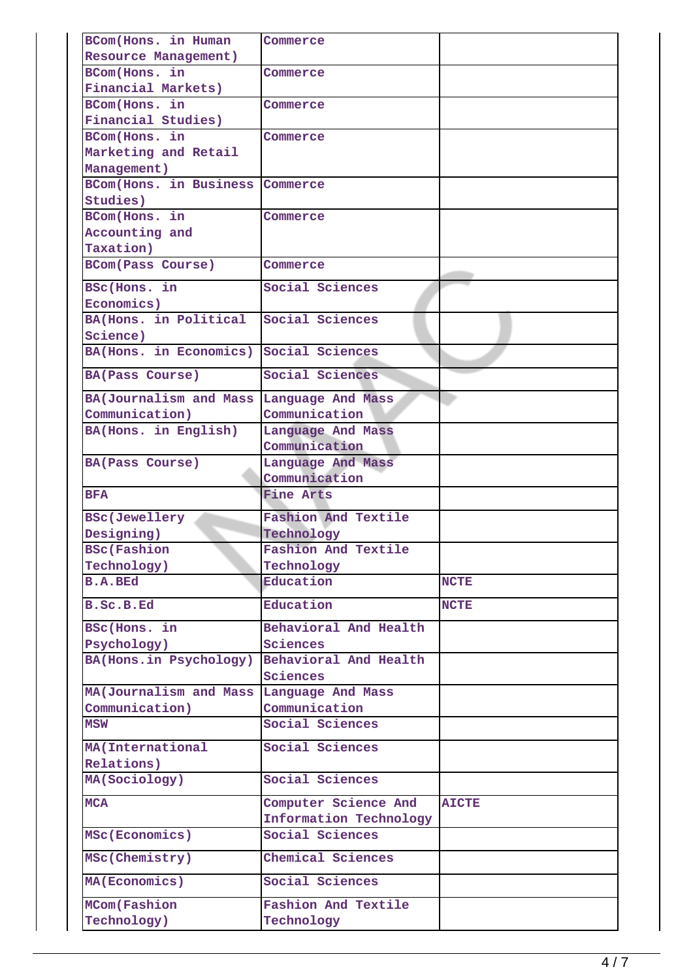| BCom(Hons. in Human                | Commerce                           |              |
|------------------------------------|------------------------------------|--------------|
| Resource Management)               |                                    |              |
| BCom(Hons. in                      | Commerce                           |              |
| Financial Markets)                 |                                    |              |
| BCom(Hons. in                      | Commerce                           |              |
| Financial Studies)                 |                                    |              |
| BCom(Hons. in                      | Commerce                           |              |
| Marketing and Retail               |                                    |              |
| Management)                        |                                    |              |
| <b>BCom(Hons. in Business</b>      | Commerce                           |              |
| Studies)                           |                                    |              |
| BCom(Hons. in                      | Commerce                           |              |
| Accounting and                     |                                    |              |
| Taxation)                          |                                    |              |
| <b>BCom(Pass Course)</b>           | Commerce                           |              |
| BSc(Hons. in                       | Social Sciences                    |              |
| Economics)                         |                                    |              |
| BA(Hons. in Political              | Social Sciences                    |              |
|                                    |                                    |              |
| Science)                           |                                    |              |
| BA(Hons. in Economics)             | Social Sciences                    |              |
| <b>BA(Pass Course)</b>             | Social Sciences                    |              |
| BA(Journalism and Mass             | Language And Mass                  |              |
| Communication)                     | Communication                      |              |
| BA(Hons. in English)               | Language And Mass                  |              |
|                                    | Communication                      |              |
| <b>BA(Pass Course)</b>             | Language And Mass                  |              |
|                                    |                                    |              |
|                                    | Communication                      |              |
| <b>BFA</b>                         | <b>Fine Arts</b>                   |              |
|                                    |                                    |              |
| <b>BSc(Jewellery</b>               | Fashion And Textile                |              |
| Designing)                         | Technology                         |              |
| <b>BSc(Fashion</b>                 | <b>Fashion And Textile</b>         |              |
| Technology)                        | Technology                         |              |
| <b>B.A.BEd</b>                     | Education                          | <b>NCTE</b>  |
| B.Sc.B.Ed                          | Education                          | <b>NCTE</b>  |
| BSc(Hons. in                       | Behavioral And Health              |              |
| Psychology)                        | Sciences                           |              |
| BA(Hons.in Psychology)             | Behavioral And Health              |              |
|                                    | Sciences                           |              |
| MA(Journalism and Mass             |                                    |              |
|                                    | Language And Mass<br>Communication |              |
| Communication)<br>MSW              | Social Sciences                    |              |
|                                    |                                    |              |
| MA (International                  | Social Sciences                    |              |
| Relations)                         |                                    |              |
| MA(Sociology)                      | Social Sciences                    |              |
| <b>MCA</b>                         | Computer Science And               | <b>AICTE</b> |
|                                    | Information Technology             |              |
| MSc(Economics)                     | Social Sciences                    |              |
| MSc(Chemistry)                     | Chemical Sciences                  |              |
| MA(Economics)                      | Social Sciences                    |              |
|                                    |                                    |              |
| <b>MCom(Fashion</b><br>Technology) | Fashion And Textile<br>Technology  |              |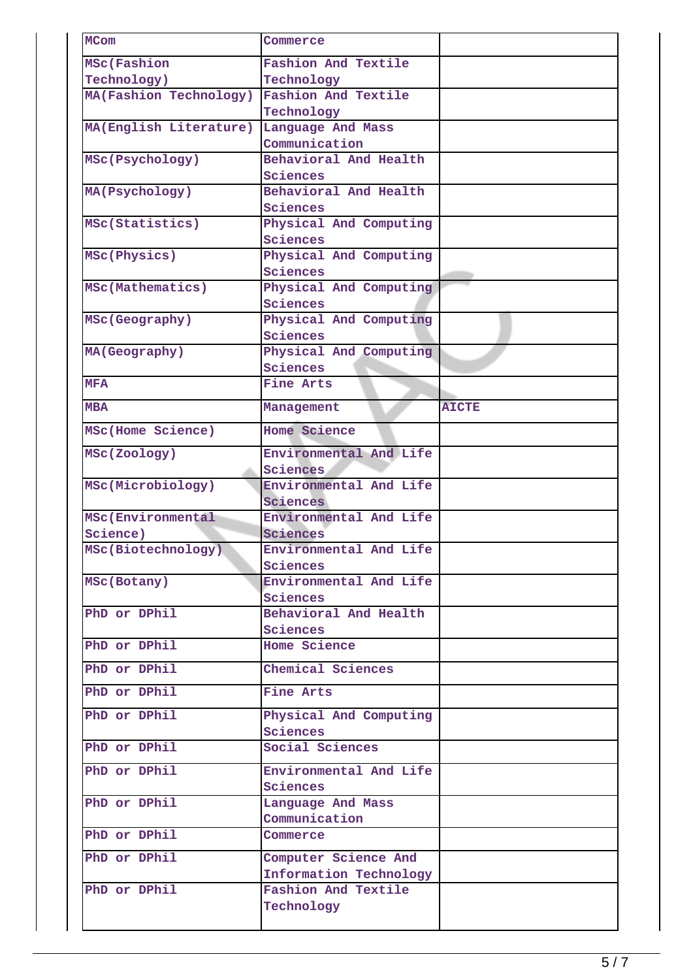| <b>MCom</b>            | Commerce                           |              |
|------------------------|------------------------------------|--------------|
| <b>MSc(Fashion</b>     | <b>Fashion And Textile</b>         |              |
| Technology)            | Technology                         |              |
| MA(Fashion Technology) | Fashion And Textile                |              |
|                        | Technology                         |              |
| MA(English Literature) | Language And Mass                  |              |
|                        | Communication                      |              |
| MSc(Psychology)        | Behavioral And Health              |              |
|                        | Sciences                           |              |
| MA(Psychology)         | Behavioral And Health              |              |
|                        | Sciences                           |              |
| MSc(Statistics)        | Physical And Computing             |              |
|                        | Sciences                           |              |
| MSc(Physics)           | Physical And Computing             |              |
|                        | Sciences                           |              |
| MSc(Mathematics)       | Physical And Computing             |              |
|                        | Sciences                           |              |
|                        |                                    |              |
| MSc(Geography)         | Physical And Computing<br>Sciences |              |
|                        |                                    |              |
| MA(Geography)          | Physical And Computing             |              |
|                        | Sciences                           |              |
| <b>MFA</b>             | Fine Arts                          |              |
| MBA                    | Management                         | <b>AICTE</b> |
| MSc(Home Science)      | Home Science                       |              |
| MSc(Zoology)           | Environmental And Life             |              |
|                        | Sciences                           |              |
| MSc(Microbiology)      | Environmental And Life             |              |
|                        | Sciences                           |              |
| MSc(Environmental      | Environmental And Life             |              |
| Science)               | Sciences                           |              |
| MSc(Biotechnology)     | Environmental And Life             |              |
|                        | Sciences                           |              |
| MSc(Botany)            | Environmental And Life             |              |
|                        | Sciences                           |              |
| PhD or DPhil           | Behavioral And Health              |              |
|                        | Sciences                           |              |
| PhD or DPhil           | Home Science                       |              |
|                        |                                    |              |
| PhD or DPhil           | Chemical Sciences                  |              |
| PhD or DPhil           | Fine Arts                          |              |
| PhD or DPhil           | Physical And Computing             |              |
|                        | Sciences                           |              |
| PhD or DPhil           | Social Sciences                    |              |
| PhD or DPhil           | Environmental And Life             |              |
|                        | Sciences                           |              |
| PhD or DPhil           | Language And Mass                  |              |
|                        | Communication                      |              |
| PhD or DPhil           | Commerce                           |              |
| PhD or DPhil           | Computer Science And               |              |
|                        | Information Technology             |              |
| PhD or DPhil           | Fashion And Textile                |              |
|                        | Technology                         |              |
|                        |                                    |              |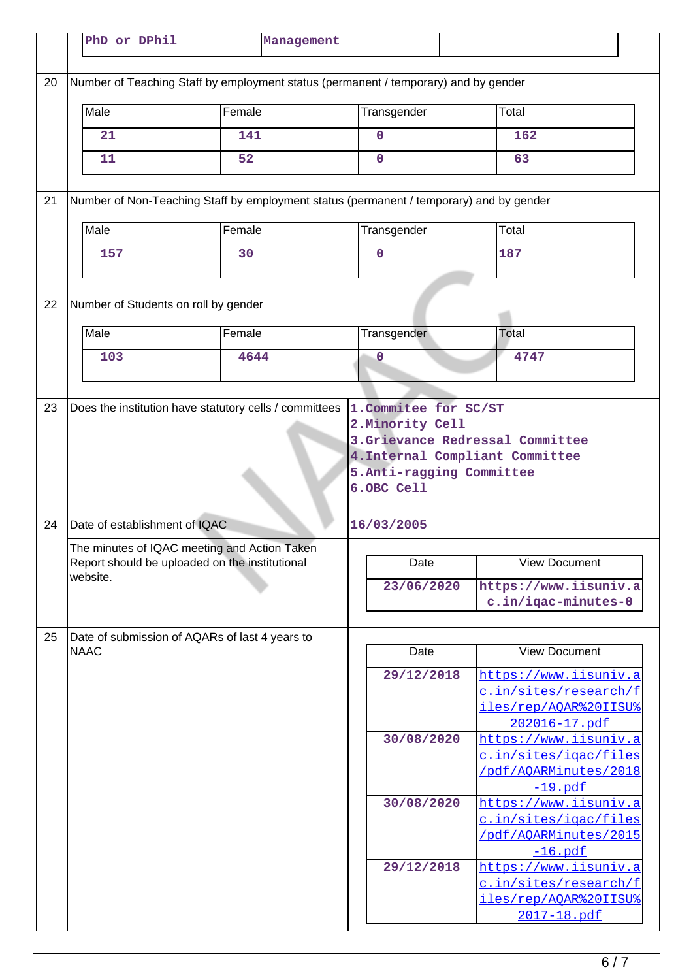|    | PhD or DPhil                                                                                   | Management                                                                              |                                        |                                                                                               |
|----|------------------------------------------------------------------------------------------------|-----------------------------------------------------------------------------------------|----------------------------------------|-----------------------------------------------------------------------------------------------|
| 20 |                                                                                                | Number of Teaching Staff by employment status (permanent / temporary) and by gender     |                                        |                                                                                               |
|    | Male                                                                                           | Female                                                                                  | Transgender                            | Total                                                                                         |
|    | 21                                                                                             | 141                                                                                     | 0                                      | 162                                                                                           |
|    | 11                                                                                             | 52                                                                                      | $\mathbf 0$                            | 63                                                                                            |
| 21 |                                                                                                | Number of Non-Teaching Staff by employment status (permanent / temporary) and by gender |                                        |                                                                                               |
|    | Male                                                                                           | Female                                                                                  | Transgender                            | Total                                                                                         |
|    | 157                                                                                            | 30                                                                                      | $\overline{0}$                         | 187                                                                                           |
| 22 | Number of Students on roll by gender                                                           |                                                                                         |                                        |                                                                                               |
|    | Male                                                                                           | Female                                                                                  | Transgender                            | Total                                                                                         |
|    | 103                                                                                            | 4644                                                                                    | 0                                      | 4747                                                                                          |
|    |                                                                                                |                                                                                         |                                        |                                                                                               |
|    |                                                                                                |                                                                                         | 5.Anti-ragging Committee<br>6.OBC Cell |                                                                                               |
| 24 | Date of establishment of IQAC                                                                  |                                                                                         | 16/03/2005                             |                                                                                               |
|    | The minutes of IQAC meeting and Action Taken<br>Report should be uploaded on the institutional |                                                                                         | Date                                   | View Document                                                                                 |
|    | website.                                                                                       |                                                                                         | 23/06/2020                             | https://www.iisuniv.a<br>c.in/iqac-minutes-0                                                  |
| 25 | Date of submission of AQARs of last 4 years to                                                 |                                                                                         |                                        |                                                                                               |
|    | <b>NAAC</b>                                                                                    |                                                                                         | Date                                   | <b>View Document</b>                                                                          |
|    |                                                                                                |                                                                                         | 29/12/2018                             | https://www.iisuniv.a<br>c.in/sites/research/f<br>iles/rep/AQAR%20IISU%<br>202016-17.pdf      |
|    |                                                                                                |                                                                                         | 30/08/2020                             | https://www.iisuniv.a<br><u>c.in/sites/iqac/files</u><br>/pdf/AQARMinutes/2018<br>$-19.pdf$   |
|    |                                                                                                |                                                                                         | 30/08/2020                             | https://www.iisuniv.a<br><u>c.in/sites/iqac/files</u><br>/pdf/AOARMinutes/2015<br>$-16.pdf$   |
|    |                                                                                                |                                                                                         | 29/12/2018                             | <u>https://www.iisuniv.a</u><br>c.in/sites/research/f<br>iles/rep/AQAR%20IISU%<br>2017-18.pdf |